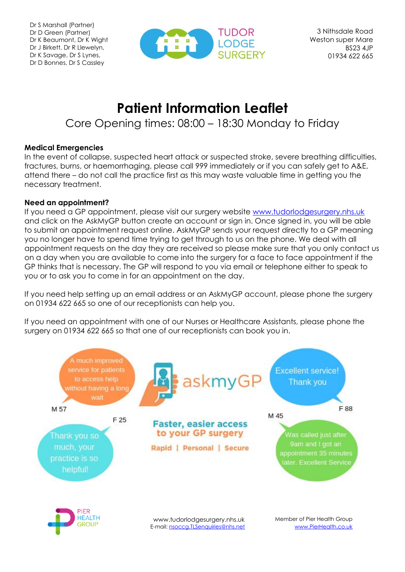

# **Patient Information Leaflet**

# Core Opening times: 08:00 – 18:30 Monday to Friday

#### **Medical Emergencies**

In the event of collapse, suspected heart attack or suspected stroke, severe breathing difficulties, fractures, burns, or haemorrhaging, please call 999 immediately or if you can safely get to A&E, attend there – do not call the practice first as this may waste valuable time in getting you the necessary treatment.

#### **Need an appointment?**

If you need a GP appointment, please visit our surgery website [www.tudorlodgesurgery.nhs.uk](http://www.tudorlodgesurgery.nhs.uk/) and click on the AskMyGP button create an account or sign in. Once signed in, you will be able to submit an appointment request online. AskMyGP sends your request directly to a GP meaning you no longer have to spend time trying to get through to us on the phone. We deal with all appointment requests on the day they are received so please make sure that you only contact us on a day when you are available to come into the surgery for a face to face appointment if the GP thinks that is necessary. The GP will respond to you via email or telephone either to speak to you or to ask you to come in for an appointment on the day.

If you need help setting up an email address or an AskMyGP account, please phone the surgery on 01934 622 665 so one of our receptionists can help you.

If you need an appointment with one of our Nurses or Healthcare Assistants, please phone the surgery on 01934 622 665 so that one of our receptionists can book you in.

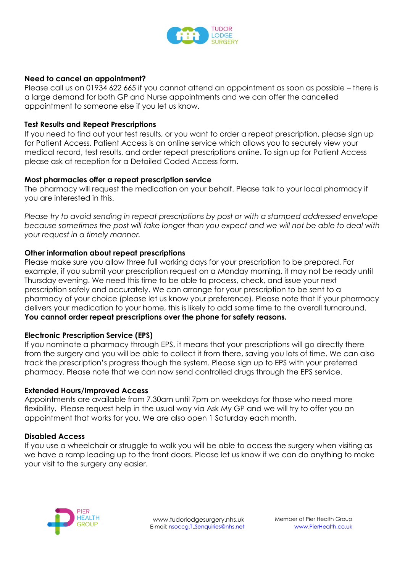

#### **Need to cancel an appointment?**

Please call us on 01934 622 665 if you cannot attend an appointment as soon as possible – there is a large demand for both GP and Nurse appointments and we can offer the cancelled appointment to someone else if you let us know.

#### **Test Results and Repeat Prescriptions**

If you need to find out your test results, or you want to order a repeat prescription, please sign up for Patient Access. Patient Access is an online service which allows you to securely view your medical record, test results, and order repeat prescriptions online. To sign up for Patient Access please ask at reception for a Detailed Coded Access form.

#### **Most pharmacies offer a repeat prescription service**

The pharmacy will request the medication on your behalf. Please talk to your local pharmacy if you are interested in this.

*Please try to avoid sending in repeat prescriptions by post or with a stamped addressed envelope because sometimes the post will take longer than you expect and we will not be able to deal with your request in a timely manner.*

#### **Other information about repeat prescriptions**

Please make sure you allow three full working days for your prescription to be prepared. For example, if you submit your prescription request on a Monday morning, it may not be ready until Thursday evening. We need this time to be able to process, check, and issue your next prescription safely and accurately. We can arrange for your prescription to be sent to a pharmacy of your choice (please let us know your preference). Please note that if your pharmacy delivers your medication to your home, this is likely to add some time to the overall turnaround. **You cannot order repeat prescriptions over the phone for safety reasons.**

#### **Electronic Prescription Service (EPS)**

If you nominate a pharmacy through EPS, it means that your prescriptions will go directly there from the surgery and you will be able to collect it from there, saving you lots of time. We can also track the prescription's progress though the system. Please sign up to EPS with your preferred pharmacy. Please note that we can now send controlled drugs through the EPS service.

#### **Extended Hours/Improved Access**

Appointments are available from 7.30am until 7pm on weekdays for those who need more flexibility. Please request help in the usual way via Ask My GP and we will try to offer you an appointment that works for you. We are also open 1 Saturday each month.

#### **Disabled Access**

If you use a wheelchair or struggle to walk you will be able to access the surgery when visiting as we have a ramp leading up to the front doors. Please let us know if we can do anything to make your visit to the surgery any easier.

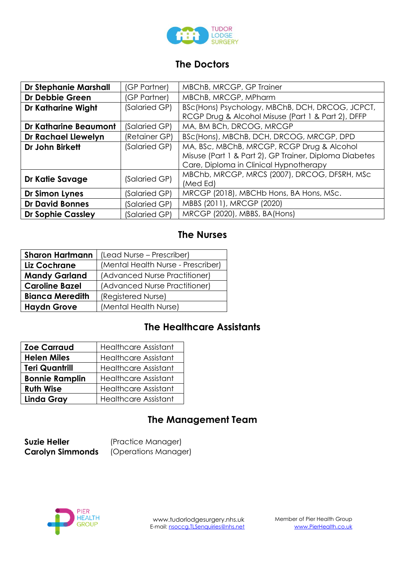

### **The Doctors**

| <b>Dr Stephanie Marshall</b> | (GP Partner)  | MBChB, MRCGP, GP Trainer                               |
|------------------------------|---------------|--------------------------------------------------------|
| Dr Debbie Green              | (GP Partner)  | MBChB, MRCGP, MPharm                                   |
| <b>Dr Katharine Wight</b>    | (Salaried GP) | BSc(Hons) Psychology, MBChB, DCH, DRCOG, JCPCT,        |
|                              |               | RCGP Drug & Alcohol Misuse (Part 1 & Part 2), DFFP     |
| <b>Dr Katharine Beaumont</b> | (Salaried GP) | MA, BM BCh, DRCOG, MRCGP                               |
| Dr Rachael Llewelyn          | (Retainer GP) | BSc(Hons), MBChB, DCH, DRCOG, MRCGP, DPD               |
| Dr John Birkett              | (Salaried GP) | MA, BSc, MBChB, MRCGP, RCGP Drug & Alcohol             |
|                              |               | Misuse (Part 1 & Part 2), GP Trainer, Diploma Diabetes |
|                              |               | Care, Diploma in Clinical Hypnotherapy                 |
| Dr Katie Savage              | (Salaried GP) | MBChb, MRCGP, MRCS (2007), DRCOG, DFSRH, MSc           |
|                              |               | (Med Ed)                                               |
| Dr Simon Lynes               | (Salaried GP) | MRCGP (2018), MBCHb Hons, BA Hons, MSc.                |
| <b>Dr David Bonnes</b>       | (Salaried GP) | MBBS (2011), MRCGP (2020)                              |
| <b>Dr Sophie Cassley</b>     | (Salaried GP) | MRCGP (2020), MBBS, BA(Hons)                           |

## **The Nurses**

| <b>Sharon Hartmann</b> | (Lead Nurse – Prescriber)          |
|------------------------|------------------------------------|
| Liz Cochrane           | (Mental Health Nurse - Prescriber) |
| <b>Mandy Garland</b>   | (Advanced Nurse Practitioner)      |
| <b>Caroline Bazel</b>  | (Advanced Nurse Practitioner)      |
| <b>Bianca Meredith</b> | (Registered Nurse)                 |
| <b>Haydn Grove</b>     | (Mental Health Nurse)              |

# **The Healthcare Assistants**

| <b>Zoe Carraud</b>    | <b>Healthcare Assistant</b> |
|-----------------------|-----------------------------|
| <b>Helen Miles</b>    | <b>Healthcare Assistant</b> |
| <b>Teri Quantrill</b> | <b>Healthcare Assistant</b> |
| <b>Bonnie Ramplin</b> | <b>Healthcare Assistant</b> |
| <b>Ruth Wise</b>      | <b>Healthcare Assistant</b> |
| <b>Linda Gray</b>     | <b>Healthcare Assistant</b> |

# **The Management Team**

**Suzie Heller** (Practice Manager)<br>**Carolyn Simmonds** (Operations Manag **(Operations Manager)** 

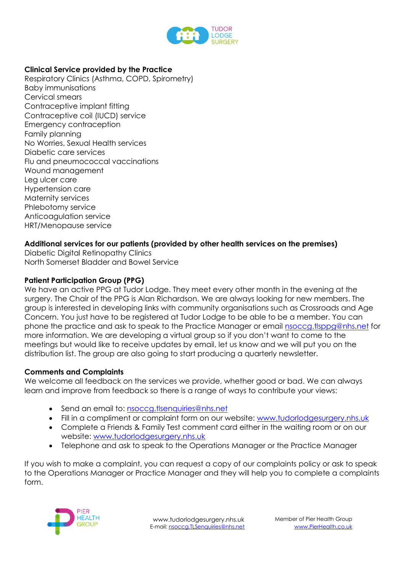

#### **Clinical Service provided by the Practice**

Respiratory Clinics (Asthma, COPD, Spirometry) Baby immunisations Cervical smears Contraceptive implant fitting Contraceptive coil (IUCD) service Emergency contraception Family planning No Worries, Sexual Health services Diabetic care services Flu and pneumococcal vaccinations Wound management Leg ulcer care Hypertension care Maternity services Phlebotomy service Anticoagulation service HRT/Menopause service

#### **Additional services for our patients (provided by other health services on the premises)**

Diabetic Digital Retinopathy Clinics North Somerset Bladder and Bowel Service

#### **Patient Participation Group (PPG)**

We have an active PPG at Tudor Lodge. They meet every other month in the evening at the surgery. The Chair of the PPG is Alan Richardson. We are always looking for new members. The group is interested in developing links with community organisations such as Crossroads and Age Concern. You just have to be registered at Tudor Lodge to be able to be a member. You can phone the practice and ask to speak to the Practice Manager or email [nsoccg.tlsppg@nhs.net](mailto:nsoccg.tlsppg@nhs.net) for more information. We are developing a virtual group so if you don't want to come to the meetings but would like to receive updates by email, let us know and we will put you on the distribution list. The group are also going to start producing a quarterly newsletter.

#### **Comments and Complaints**

We welcome all feedback on the services we provide, whether good or bad. We can always learn and improve from feedback so there is a range of ways to contribute your views:

- Send an email to: [nsoccg.tlsenquiries@nhs.net](mailto:nsoccg.tlsenquiries@nhs.net)
- Fill in a compliment or complaint form on our website: [www.tudorlodgesurgery.nhs.uk](http://www.tudorlodgesurgery.nhs.uk/)
- Complete a Friends & Family Test comment card either in the waiting room or on our website: [www.tudorlodgesurgery.nhs.uk](http://www.tudorlodgesurgery.nhs.uk/)
- Telephone and ask to speak to the Operations Manager or the Practice Manager

If you wish to make a complaint, you can request a copy of our complaints policy or ask to speak to the Operations Manager or Practice Manager and they will help you to complete a complaints form.

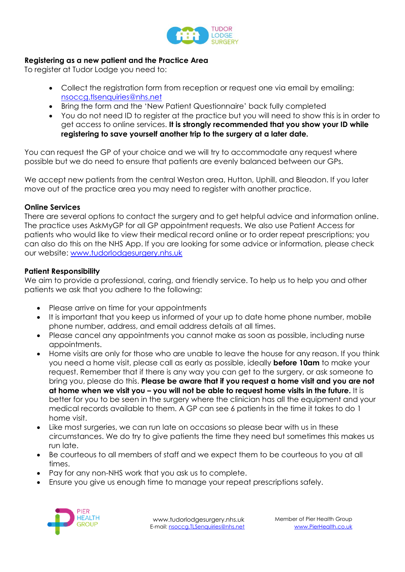

#### **Registering as a new patient and the Practice Area**

To register at Tudor Lodge you need to:

- Collect the registration form from reception or request one via email by emailing: [nsoccg.tlsenquiries@nhs.net](mailto:nsoccg.tlsenquiries@nhs.net)
- Bring the form and the 'New Patient Questionnaire' back fully completed
- You do not need ID to register at the practice but you will need to show this is in order to get access to online services. **It is strongly recommended that you show your ID while registering to save yourself another trip to the surgery at a later date.**

You can request the GP of your choice and we will try to accommodate any request where possible but we do need to ensure that patients are evenly balanced between our GPs.

We accept new patients from the central Weston area, Hutton, Uphill, and Bleadon. If you later move out of the practice area you may need to register with another practice.

#### **Online Services**

There are several options to contact the surgery and to get helpful advice and information online. The practice uses AskMyGP for all GP appointment requests. We also use Patient Access for patients who would like to view their medical record online or to order repeat prescriptions; you can also do this on the NHS App. If you are looking for some advice or information, please check our website: [www.tudorlodgesurgery.nhs.uk](http://www.tudorlodgesurgery.nhs.uk/)

#### **Patient Responsibility**

We aim to provide a professional, caring, and friendly service. To help us to help you and other patients we ask that you adhere to the following:

- Please arrive on time for your appointments
- It is important that you keep us informed of your up to date home phone number, mobile phone number, address, and email address details at all times.
- Please cancel any appointments you cannot make as soon as possible, including nurse appointments.
- Home visits are only for those who are unable to leave the house for any reason. If you think you need a home visit, please call as early as possible, ideally **before 10am** to make your request. Remember that if there is any way you can get to the surgery, or ask someone to bring you, please do this. **Please be aware that if you request a home visit and you are not at home when we visit you – you will not be able to request home visits in the future.** It is better for you to be seen in the surgery where the clinician has all the equipment and your medical records available to them. A GP can see 6 patients in the time it takes to do 1 home visit.
- Like most surgeries, we can run late on occasions so please bear with us in these circumstances. We do try to give patients the time they need but sometimes this makes us run late.
- Be courteous to all members of staff and we expect them to be courteous to you at all times.
- Pay for any non-NHS work that you ask us to complete.
- Ensure you give us enough time to manage your repeat prescriptions safely.

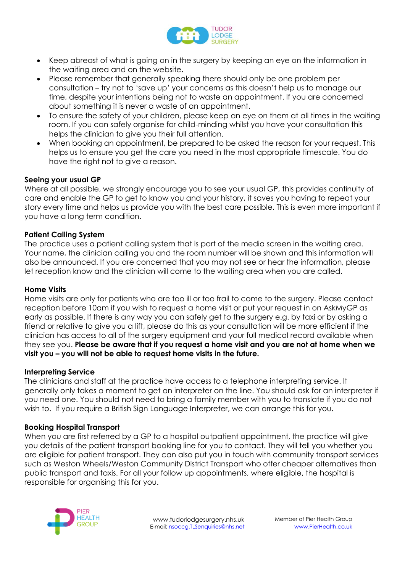

- Keep abreast of what is going on in the surgery by keeping an eye on the information in the waiting area and on the website.
- Please remember that generally speaking there should only be one problem per consultation – try not to 'save up' your concerns as this doesn't help us to manage our time, despite your intentions being not to waste an appointment. If you are concerned about something it is never a waste of an appointment.
- To ensure the safety of your children, please keep an eye on them at all times in the waiting room. If you can safely organise for child-minding whilst you have your consultation this helps the clinician to give you their full attention.
- When booking an appointment, be prepared to be asked the reason for your request. This helps us to ensure you get the care you need in the most appropriate timescale. You do have the right not to give a reason.

#### **Seeing your usual GP**

Where at all possible, we strongly encourage you to see your usual GP, this provides continuity of care and enable the GP to get to know you and your history, it saves you having to repeat your story every time and helps us provide you with the best care possible. This is even more important if you have a long term condition.

#### **Patient Calling System**

The practice uses a patient calling system that is part of the media screen in the waiting area. Your name, the clinician calling you and the room number will be shown and this information will also be announced. If you are concerned that you may not see or hear the information, please let reception know and the clinician will come to the waiting area when you are called.

#### **Home Visits**

Home visits are only for patients who are too ill or too frail to come to the surgery. Please contact reception before 10am if you wish to request a home visit or put your request in on AskMyGP as early as possible. If there is any way you can safely get to the surgery e.g. by taxi or by asking a friend or relative to give you a lift, please do this as your consultation will be more efficient if the clinician has access to all of the surgery equipment and your full medical record available when they see you. **Please be aware that if you request a home visit and you are not at home when we visit you – you will not be able to request home visits in the future.**

#### **Interpreting Service**

The clinicians and staff at the practice have access to a telephone interpreting service. It generally only takes a moment to get an interpreter on the line. You should ask for an interpreter if you need one. You should not need to bring a family member with you to translate if you do not wish to. If you require a British Sign Language Interpreter, we can arrange this for you.

#### **Booking Hospital Transport**

When you are first referred by a GP to a hospital outpatient appointment, the practice will give you details of the patient transport booking line for you to contact. They will tell you whether you are eligible for patient transport. They can also put you in touch with community transport services such as Weston Wheels/Weston Community District Transport who offer cheaper alternatives than public transport and taxis. For all your follow up appointments, where eligible, the hospital is responsible for organising this for you.

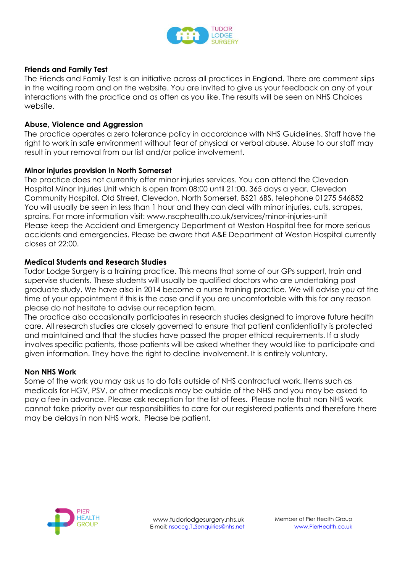

#### **Friends and Family Test**

The Friends and Family Test is an initiative across all practices in England. There are comment slips in the waiting room and on the website. You are invited to give us your feedback on any of your interactions with the practice and as often as you like. The results will be seen on NHS Choices website.

#### **Abuse, Violence and Aggression**

The practice operates a zero tolerance policy in accordance with NHS Guidelines. Staff have the right to work in safe environment without fear of physical or verbal abuse. Abuse to our staff may result in your removal from our list and/or police involvement.

#### **Minor injuries provision in North Somerset**

The practice does not currently offer minor injuries services. You can attend the Clevedon Hospital Minor Injuries Unit which is open from 08:00 until 21:00, 365 days a year. Clevedon Community Hospital, Old Street, Clevedon, North Somerset, BS21 6BS, telephone 01275 546852 You will usually be seen in less than 1 hour and they can deal with minor injuries, cuts, scrapes, sprains. For more information visit: www.nscphealth.co.uk/services/minor-injuries-unit Please keep the Accident and Emergency Department at Weston Hospital free for more serious accidents and emergencies. Please be aware that A&E Department at Weston Hospital currently closes at 22:00.

#### **Medical Students and Research Studies**

Tudor Lodge Surgery is a training practice. This means that some of our GPs support, train and supervise students. These students will usually be qualified doctors who are undertaking post graduate study. We have also in 2014 become a nurse training practice. We will advise you at the time of your appointment if this is the case and if you are uncomfortable with this for any reason please do not hesitate to advise our reception team.

The practice also occasionally participates in research studies designed to improve future health care. All research studies are closely governed to ensure that patient confidentiality is protected and maintained and that the studies have passed the proper ethical requirements. If a study involves specific patients, those patients will be asked whether they would like to participate and given information. They have the right to decline involvement. It is entirely voluntary.

#### **Non NHS Work**

Some of the work you may ask us to do falls outside of NHS contractual work. Items such as medicals for HGV, PSV, or other medicals may be outside of the NHS and you may be asked to pay a fee in advance. Please ask reception for the list of fees. Please note that non NHS work cannot take priority over our responsibilities to care for our registered patients and therefore there may be delays in non NHS work. Please be patient.

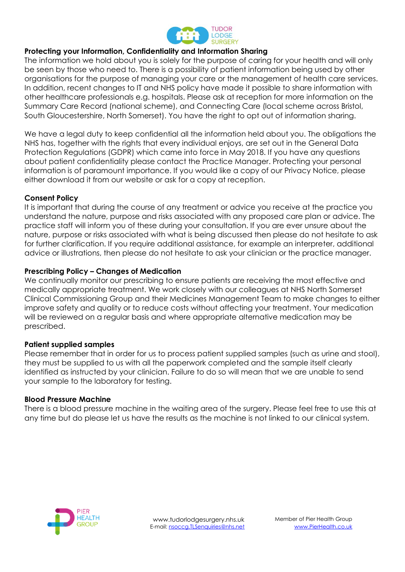

#### **Protecting your Information, Confidentiality and Information Sharing**

The information we hold about you is solely for the purpose of caring for your health and will only be seen by those who need to. There is a possibility of patient information being used by other organisations for the purpose of managing your care or the management of health care services. In addition, recent changes to IT and NHS policy have made it possible to share information with other healthcare professionals e.g. hospitals. Please ask at reception for more information on the Summary Care Record (national scheme), and Connecting Care (local scheme across Bristol, South Gloucestershire, North Somerset). You have the right to opt out of information sharing.

We have a legal duty to keep confidential all the information held about you. The obligations the NHS has, together with the rights that every individual enjoys, are set out in the General Data Protection Regulations (GDPR) which came into force in May 2018. If you have any questions about patient confidentiality please contact the Practice Manager. Protecting your personal information is of paramount importance. If you would like a copy of our Privacy Notice, please either download it from our website or ask for a copy at reception.

#### **Consent Policy**

It is important that during the course of any treatment or advice you receive at the practice you understand the nature, purpose and risks associated with any proposed care plan or advice. The practice staff will inform you of these during your consultation. If you are ever unsure about the nature, purpose or risks associated with what is being discussed then please do not hesitate to ask for further clarification. If you require additional assistance, for example an interpreter, additional advice or illustrations, then please do not hesitate to ask your clinician or the practice manager.

#### **Prescribing Policy – Changes of Medication**

We continually monitor our prescribing to ensure patients are receiving the most effective and medically appropriate treatment. We work closely with our colleagues at NHS North Somerset Clinical Commissioning Group and their Medicines Management Team to make changes to either improve safety and quality or to reduce costs without affecting your treatment. Your medication will be reviewed on a regular basis and where appropriate alternative medication may be prescribed.

#### **Patient supplied samples**

Please remember that in order for us to process patient supplied samples (such as urine and stool), they must be supplied to us with all the paperwork completed and the sample itself clearly identified as instructed by your clinician. Failure to do so will mean that we are unable to send your sample to the laboratory for testing.

#### **Blood Pressure Machine**

There is a blood pressure machine in the waiting area of the surgery. Please feel free to use this at any time but do please let us have the results as the machine is not linked to our clinical system.